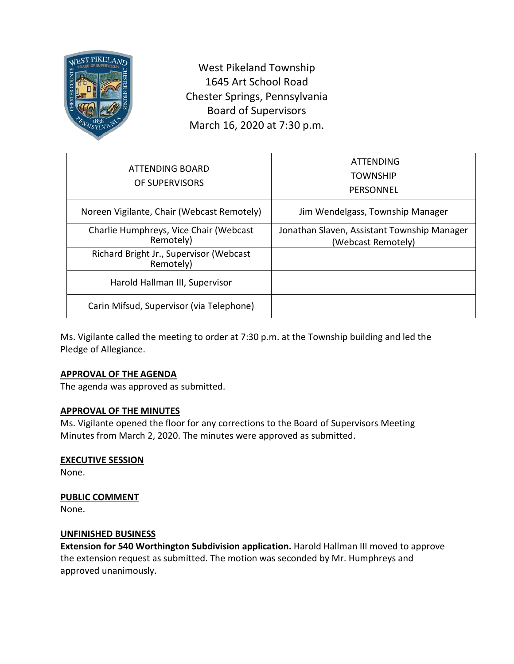

West Pikeland Township 1645 Art School Road Chester Springs, Pennsylvania Board of Supervisors March 16, 2020 at 7:30 p.m.

| ATTENDING BOARD<br>OF SUPERVISORS                    | <b>ATTENDING</b><br><b>TOWNSHIP</b><br>PERSONNEL                  |
|------------------------------------------------------|-------------------------------------------------------------------|
| Noreen Vigilante, Chair (Webcast Remotely)           | Jim Wendelgass, Township Manager                                  |
| Charlie Humphreys, Vice Chair (Webcast<br>Remotely)  | Jonathan Slaven, Assistant Township Manager<br>(Webcast Remotely) |
| Richard Bright Jr., Supervisor (Webcast<br>Remotely) |                                                                   |
| Harold Hallman III, Supervisor                       |                                                                   |
| Carin Mifsud, Supervisor (via Telephone)             |                                                                   |

Ms. Vigilante called the meeting to order at 7:30 p.m. at the Township building and led the Pledge of Allegiance.

# **APPROVAL OF THE AGENDA**

The agenda was approved as submitted.

# **APPROVAL OF THE MINUTES**

Ms. Vigilante opened the floor for any corrections to the Board of Supervisors Meeting Minutes from March 2, 2020. The minutes were approved as submitted.

# **EXECUTIVE SESSION**

None.

# **PUBLIC COMMENT**

None.

# **UNFINISHED BUSINESS**

**Extension for 540 Worthington Subdivision application.** Harold Hallman III moved to approve the extension request as submitted. The motion was seconded by Mr. Humphreys and approved unanimously.